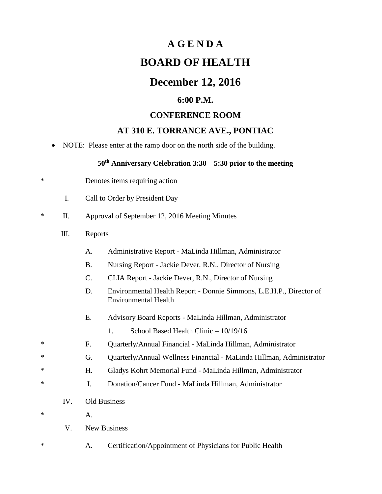# **A G E N D A BOARD OF HEALTH**

## **December 12, 2016**

#### **6:00 P.M.**

#### **CONFERENCE ROOM**

#### **AT 310 E. TORRANCE AVE., PONTIAC**

NOTE: Please enter at the ramp door on the north side of the building.

### **50th Anniversary Celebration 3:30 – 5:30 prior to the meeting**

- \* Denotes items requiring action
	- I. Call to Order by President Day
- \* II. Approval of September 12, 2016 Meeting Minutes
	- III. Reports
		- A. Administrative Report MaLinda Hillman, Administrator
		- B. Nursing Report Jackie Dever, R.N., Director of Nursing
		- C. CLIA Report Jackie Dever, R.N., Director of Nursing
		- D. Environmental Health Report Donnie Simmons, L.E.H.P., Director of Environmental Health
		- E. Advisory Board Reports MaLinda Hillman, Administrator
			- 1. School Based Health Clinic 10/19/16
- \* F. Quarterly/Annual Financial MaLinda Hillman, Administrator
- \* G. Quarterly/Annual Wellness Financial MaLinda Hillman, Administrator
- \* H. Gladys Kohrt Memorial Fund MaLinda Hillman, Administrator
- \* I. Donation/Cancer Fund MaLinda Hillman, Administrator
	- IV. Old Business
- $*$  A.
	- V. New Business
- \* A. Certification/Appointment of Physicians for Public Health